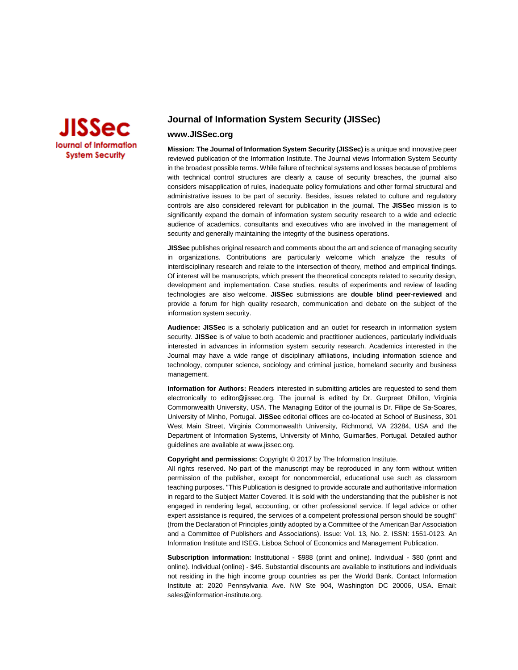

## **Journal of Information System Security (JISSec)**

## **www.JISSec.org**

**Mission: The Journal of Information System Security (JISSec)** is a unique and innovative peer reviewed publication of the Information Institute. The Journal views Information System Security in the broadest possible terms. While failure of technical systems and losses because of problems with technical control structures are clearly a cause of security breaches, the journal also considers misapplication of rules, inadequate policy formulations and other formal structural and administrative issues to be part of security. Besides, issues related to culture and regulatory controls are also considered relevant for publication in the journal. The **JISSec** mission is to significantly expand the domain of information system security research to a wide and eclectic audience of academics, consultants and executives who are involved in the management of security and generally maintaining the integrity of the business operations.

**JISSec** publishes original research and comments about the art and science of managing security in organizations. Contributions are particularly welcome which analyze the results of interdisciplinary research and relate to the intersection of theory, method and empirical findings. Of interest will be manuscripts, which present the theoretical concepts related to security design, development and implementation. Case studies, results of experiments and review of leading technologies are also welcome. **JISSec** submissions are **double blind peer-reviewed** and provide a forum for high quality research, communication and debate on the subject of the information system security.

**Audience: JISSec** is a scholarly publication and an outlet for research in information system security. **JISSec** is of value to both academic and practitioner audiences, particularly individuals interested in advances in information system security research. Academics interested in the Journal may have a wide range of disciplinary affiliations, including information science and technology, computer science, sociology and criminal justice, homeland security and business management.

**Information for Authors:** Readers interested in submitting articles are requested to send them electronically to editor@jissec.org. The journal is edited by Dr. Gurpreet Dhillon, Virginia Commonwealth University, USA. The Managing Editor of the journal is Dr. Filipe de Sa-Soares, University of Minho, Portugal. **JISSec** editorial offices are co-located at School of Business, 301 West Main Street, Virginia Commonwealth University, Richmond, VA 23284, USA and the Department of Information Systems, University of Minho, Guimarães, Portugal. Detailed author guidelines are available at www.jissec.org.

#### **Copyright and permissions:** Copyright © 2017 by The Information Institute.

All rights reserved. No part of the manuscript may be reproduced in any form without written permission of the publisher, except for noncommercial, educational use such as classroom teaching purposes. "This Publication is designed to provide accurate and authoritative information in regard to the Subject Matter Covered. It is sold with the understanding that the publisher is not engaged in rendering legal, accounting, or other professional service. If legal advice or other expert assistance is required, the services of a competent professional person should be sought" (from the Declaration of Principles jointly adopted by a Committee of the American Bar Association and a Committee of Publishers and Associations). Issue: Vol. 13, No. 2. ISSN: 1551-0123. An Information Institute and ISEG, Lisboa School of Economics and Management Publication.

**Subscription information:** Institutional - \$988 (print and online). Individual - \$80 (print and online). Individual (online) - \$45. Substantial discounts are available to institutions and individuals not residing in the high income group countries as per the World Bank. Contact Information Institute at: 2020 Pennsylvania Ave. NW Ste 904, Washington DC 20006, USA. Email: [sales@information-institute.org.](mailto:sales@information-institute.org)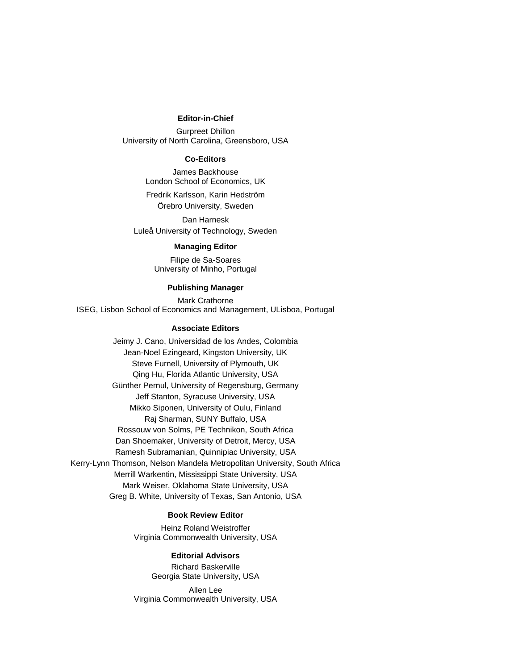#### **Editor-in-Chief**

Gurpreet Dhillon University of North Carolina, Greensboro, USA

## **Co-Editors**

James Backhouse London School of Economics, UK

Fredrik Karlsson, Karin Hedström Örebro University, Sweden

Dan Harnesk Luleå University of Technology, Sweden

### **Managing Editor**

Filipe de Sa-Soares University of Minho, Portugal

#### **Publishing Manager**

Mark Crathorne ISEG, Lisbon School of Economics and Management, ULisboa, Portugal

#### **Associate Editors**

Jeimy J. Cano, Universidad de los Andes, Colombia Jean-Noel Ezingeard, Kingston University, UK Steve Furnell, University of Plymouth, UK Qing Hu, Florida Atlantic University, USA Günther Pernul, University of Regensburg, Germany Jeff Stanton, Syracuse University, USA Mikko Siponen, University of Oulu, Finland Raj Sharman, SUNY Buffalo, USA Rossouw von Solms, PE Technikon, South Africa Dan Shoemaker, University of Detroit, Mercy, USA Ramesh Subramanian, Quinnipiac University, USA Kerry-Lynn Thomson, Nelson Mandela Metropolitan University, South Africa Merrill Warkentin, Mississippi State University, USA Mark Weiser, Oklahoma State University, USA Greg B. White, University of Texas, San Antonio, USA

#### **Book Review Editor**

Heinz Roland Weistroffer Virginia Commonwealth University, USA

### **Editorial Advisors**

Richard Baskerville Georgia State University, USA

Allen Lee Virginia Commonwealth University, USA